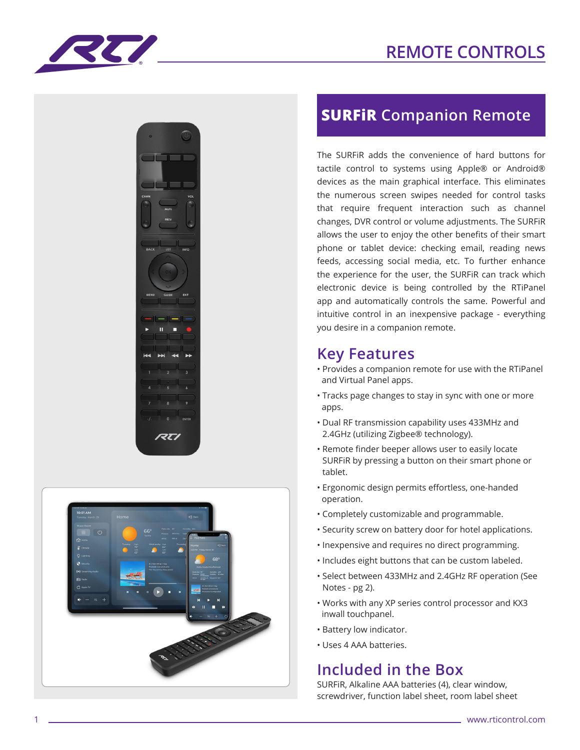# **REMOTE CONTROLS**







## **SURFiR Companion Remote**

The SURFiR adds the convenience of hard buttons for tactile control to systems using Apple® or Android® devices as the main graphical interface. This eliminates the numerous screen swipes needed for control tasks that require frequent interaction such as channel changes, DVR control or volume adjustments. The SURFiR allows the user to enjoy the other benefits of their smart phone or tablet device: checking email, reading news feeds, accessing social media, etc. To further enhance the experience for the user, the SURFiR can track which electronic device is being controlled by the RTiPanel app and automatically controls the same. Powerful and intuitive control in an inexpensive package - everything you desire in a companion remote.

#### **Key Features**

- Provides a companion remote for use with the RTiPanel and Virtual Panel apps.
- Tracks page changes to stay in sync with one or more apps.
- Dual RF transmission capability uses 433MHz and 2.4GHz (utilizing Zigbee® technology).
- Remote finder beeper allows user to easily locate SURFiR by pressing a button on their smart phone or tablet.
- Ergonomic design permits effortless, one-handed operation.
- Completely customizable and programmable.
- Security screw on battery door for hotel applications.
- Inexpensive and requires no direct programming.
- Includes eight buttons that can be custom labeled.
- Select between 433MHz and 2.4GHz RF operation (See Notes - pg 2).
- Works with any XP series control processor and KX3 inwall touchpanel.
- Battery low indicator.
- Uses 4 AAA batteries.

### **Included in the Box**

SURFiR, Alkaline AAA batteries (4), clear window, screwdriver, function label sheet, room label sheet